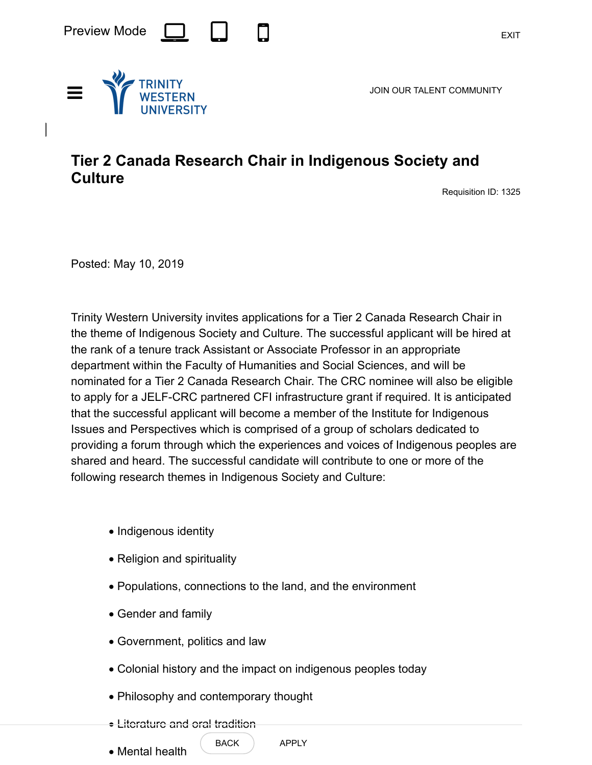

JOIN OUR TALENT COMMUNITY



Requisition ID: 1325

Posted: May 10, 2019

Trinity Western University invites applications for a Tier 2 Canada Research Chair in the theme of Indigenous Society and Culture. The successful applicant will be hired at the rank of a tenure track Assistant or Associate Professor in an appropriate department within the Faculty of Humanities and Social Sciences, and will be nominated for a Tier 2 Canada Research Chair. The CRC nominee will also be eligible to apply for a JELF-CRC partnered CFI infrastructure grant if required. It is anticipated that the successful applicant will become a member of the Institute for Indigenous Issues and Perspectives which is comprised of a group of scholars dedicated to providing a forum through which the experiences and voices of Indigenous peoples are shared and heard. The successful candidate will contribute to one or more of the following research themes in Indigenous Society and Culture:

- · Indigenous identity
- Religion and spirituality
- · Populations, connections to the land, and the environment
- · Gender and family
- · Government, politics and law
- · Colonial history and the impact on indigenous peoples today
- · Philosophy and contemporary thought
- Literature and oral tradition
- · Mental health

BACK ) APPLY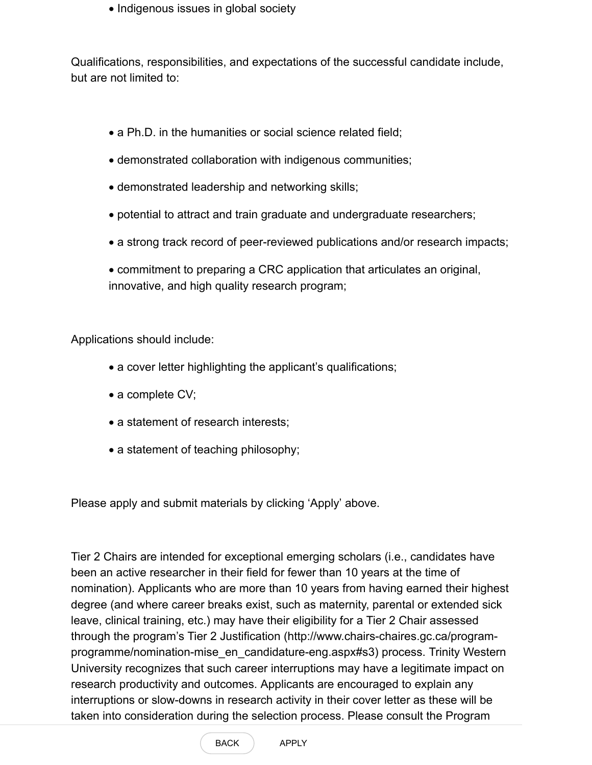· Indigenous issues in global society

Qualifications, responsibilities, and expectations of the successful candidate include, but are not limited to:

- a Ph.D. in the humanities or social science related field;
- · demonstrated collaboration with indigenous communities;
- · demonstrated leadership and networking skills;
- · potential to attract and train graduate and undergraduate researchers;
- · a strong track record of peer-reviewed publications and/or research impacts;

· commitment to preparing a CRC application that articulates an original, innovative, and high quality research program;

Applications should include:

- a cover letter highlighting the applicant's qualifications;
- a complete CV;
- a statement of research interests;
- a statement of teaching philosophy;

Please apply and submit materials by clicking 'Apply' above.

Tier 2 Chairs are intended for exceptional emerging scholars (i.e., candidates have been an active researcher in their field for fewer than 10 years at the time of nomination). Applicants who are more than 10 years from having earned their highest degree (and where career breaks exist, such as maternity, parental or extended sick leave, clinical training, etc.) may have their eligibility for a Tier 2 Chair assessed through the program's Tier 2 Justification (http://www.chairs-chaires.gc.ca/program[programme/nomination-mise\\_en\\_candidature-eng.aspx#s3\) process. Trinity Wester](http://www.chairs-chaires.gc.ca/program-programme/nomination-mise_en_candidature-eng.aspx#s3)n University recognizes that such career interruptions may have a legitimate impact on research productivity and outcomes. Applicants are encouraged to explain any interruptions or slow-downs in research activity in their cover letter as these will be [taken into consideration during the selection process. Please consult the Program](http://www.chairs-chaires.gc.ca/program-programme/nomination-mise_en_candidature-eng.aspx)

BACK APPLY